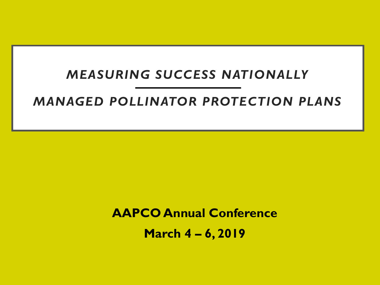#### *MEASURING SUCCESS NATIONALLY*

#### *MANAGED POLLINATOR PROTECTION PLANS*

**AAPCO Annual Conference March 4 – 6, 2019**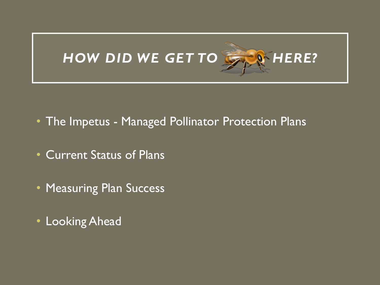

- The Impetus Managed Pollinator Protection Plans
- Current Status of Plans
- Measuring Plan Success
- Looking Ahead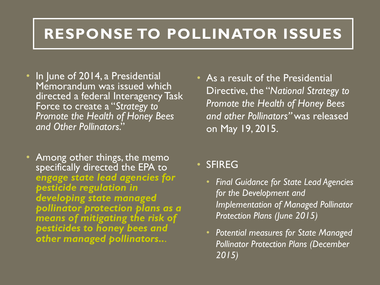### **RESPONSE TO POLLINATOR ISSUES**

- In June of 2014, a Presidential Memorandum was issued which directed a federal Interagency Task Force to create a "*Strategy to Promote the Health of Honey Bees and Other Pollinators*."
- Among other things, the memo specifically directed the EPA to *engage state lead agencies for pesticide regulation in developing state managed pollinator protection plans as a means of mitigating the risk of pesticides to honey bees and other managed pollinators..*.
- As a result of the Presidential Directive, the "*National Strategy to Promote the Health of Honey Bees and other Pollinators"* was released on May 19, 2015.

#### **SFIREG**

- *Final Guidance for State Lead Agencies for the Development and Implementation of Managed Pollinator Protection Plans (June 2015)*
- *Potential measures for State Managed Pollinator Protection Plans (December 2015)*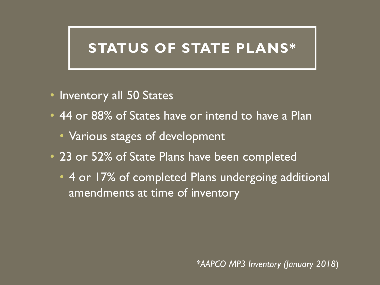### **STATUS OF STATE PLANS\***

- Inventory all 50 States
- 44 or 88% of States have or intend to have a Plan
	- Various stages of development
- 23 or 52% of State Plans have been completed
	- 4 or 17% of completed Plans undergoing additional amendments at time of inventory

*\*AAPCO MP3 Inventory (January 2018*)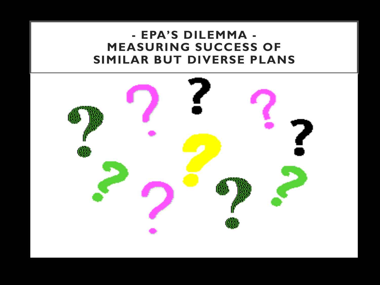#### **- EPA'S DILEMMA - MEASURING SUCCESS OF SIMILAR BUT DIVERSE PLANS**

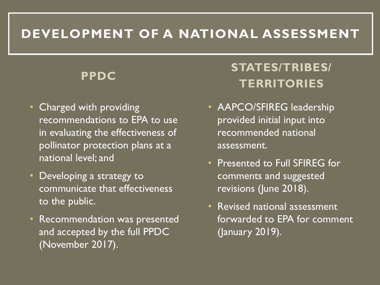### **DEVELOPMENT OF A NATIONAL ASSESSMENT**

#### **PPDC**

- Charged with providing recommendations to EPA to use in evaluating the effectiveness of pollinator protection plans at a national level; and
- Developing a strategy to communicate that effectiveness to the public.
- Recommendation was presented and accepted by the full PPDC (November 2017).

### **STATES/TRIBES/ TERRITORIES**

- AAPCO/SFIREG leadership provided initial input into recommended national assessment.
- Presented to Full SFIREG for comments and suggested revisions (June 2018).
- Revised national assessment forwarded to EPA for comment (January 2019).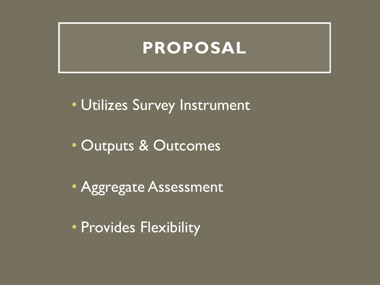### **PROPOSAL**

• Utilizes Survey Instrument

- Outputs & Outcomes
- Aggregate Assessment
- Provides Flexibility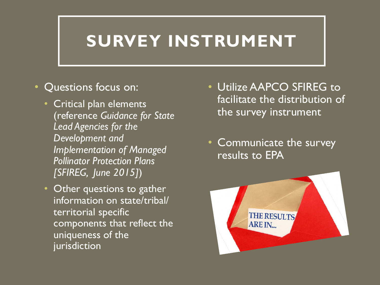### **SURVEY INSTRUMENT**

#### • Questions focus on:

- Critical plan elements (reference *Guidance for State Lead Agencies for the Development and Implementation of Managed Pollinator Protection Plans [SFIREG, June 2015]*)
- Other questions to gather information on state/tribal/ territorial specific components that reflect the uniqueness of the jurisdiction
- Utilize AAPCO SFIREG to facilitate the distribution of the survey instrument
- Communicate the survey results to EPA

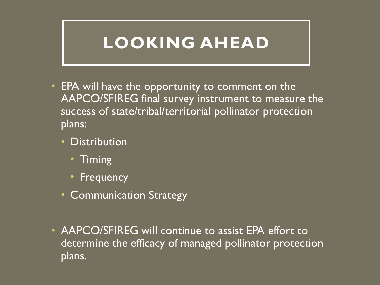### **LOOKING AHEAD**

- EPA will have the opportunity to comment on the AAPCO/SFIREG final survey instrument to measure the success of state/tribal/territorial pollinator protection plans:
	- Distribution
		- Timing
		- Frequency
	- Communication Strategy
- AAPCO/SFIREG will continue to assist EPA effort to determine the efficacy of managed pollinator protection plans.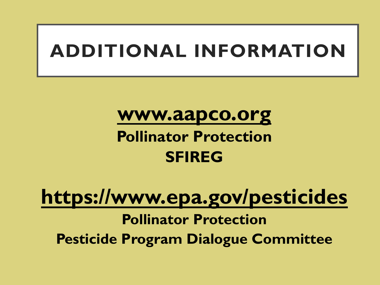# **ADDITIONAL INFORMATION**

### **www.aapco.org**

### **Pollinator Protection SFIREG**

# **https://www.epa.gov/pesticides Pollinator Protection Pesticide Program Dialogue Committee**